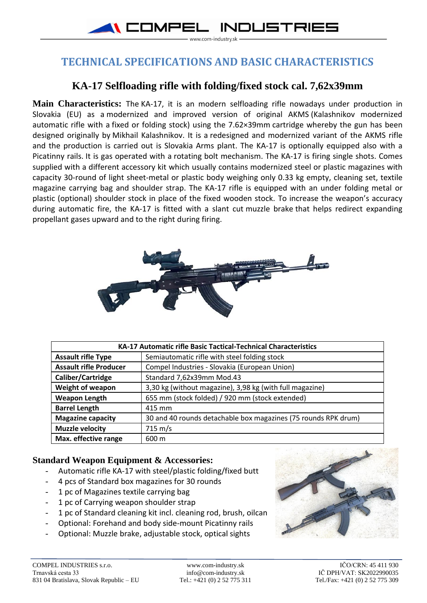

## **TECHNICAL SPECIFICATIONS AND BASIC CHARACTERISTICS**

## **KA-17 Selfloading rifle with folding/fixed stock cal. 7,62x39mm**

**Main Characteristics:** The KA-17, it is an modern selfloading rifle nowadays under production in Slovakia (EU) as a modernized and improved version of original AKMS (Kalashnikov modernized automatic rifle with a fixed or folding stock) using the [7.62×39mm](https://en.wikipedia.org/wiki/7.62%C3%9739mm) cartridge whereby the gun has been designed originally by [Mikhail Kalashnikov.](https://en.wikipedia.org/wiki/Mikhail_Kalashnikov) It is a redesigned and modernized variant of the AKMS rifle and the production is carried out is Slovakia Arms plant. The KA-17 is optionally equipped also with a Picatinny rails. It is gas operated with a [rotating bolt](https://en.wikipedia.org/wiki/Rotating_bolt) mechanism. The KA-17 is firing single shots. Comes supplied with a different accessory kit which usually contains modernized steel or plastic magazines with capacity 30-round of light sheet-metal or plastic body weighing only 0.33 kg empty, cleaning set, textile magazine carrying bag and shoulder strap. The KA-17 rifle is equipped with an under folding metal or plastic (optional) shoulder stock in place of the fixed wooden stock. To increase the weapon's accuracy during automatic fire, the KA-17 is fitted with a slant cut [muzzle brake](https://en.wikipedia.org/wiki/Muzzle_brake) that helps redirect expanding propellant gases upward and to the right during firing.



| <b>KA-17 Automatic rifle Basic Tactical-Technical Characteristics</b> |                                                                |
|-----------------------------------------------------------------------|----------------------------------------------------------------|
| <b>Assault rifle Type</b>                                             | Semiautomatic rifle with steel folding stock                   |
| <b>Assault rifle Producer</b>                                         | Compel Industries - Slovakia (European Union)                  |
| Caliber/Cartridge                                                     | Standard 7,62x39mm Mod.43                                      |
| Weight of weapon                                                      | 3,30 kg (without magazine), 3,98 kg (with full magazine)       |
| <b>Weapon Length</b>                                                  | 655 mm (stock folded) / 920 mm (stock extended)                |
| <b>Barrel Length</b>                                                  | 415 mm                                                         |
| <b>Magazine capacity</b>                                              | 30 and 40 rounds detachable box magazines (75 rounds RPK drum) |
| <b>Muzzle velocity</b>                                                | $715 \text{ m/s}$                                              |
| Max. effective range                                                  | 600 m                                                          |

## **Standard Weapon Equipment & Accessories:**

- Automatic rifle KA-17 with steel/plastic folding/fixed butt
- 4 pcs of Standard box magazines for 30 rounds
- 1 pc of Magazines textile carrying bag
- 1 pc of Carrying weapon shoulder strap
- 1 pc of Standard cleaning kit incl. cleaning rod, brush, oilcan
- Optional: Forehand and body side-mount Picatinny rails
- Optional: Muzzle brake, adjustable stock, optical sights